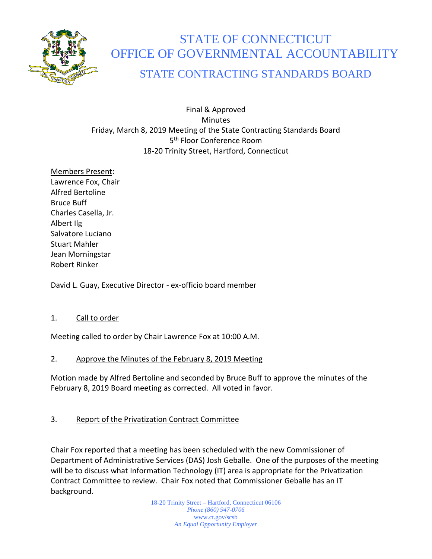

# STATE OF CONNECTICUT OFFICE OF GOVERNMENTAL ACCOUNTABILITY

## STATE CONTRACTING STANDARDS BOARD

Final & Approved **Minutes** Friday, March 8, 2019 Meeting of the State Contracting Standards Board 5<sup>th</sup> Floor Conference Room 18-20 Trinity Street, Hartford, Connecticut

Members Present: Lawrence Fox, Chair Alfred Bertoline Bruce Buff Charles Casella, Jr. Albert Ilg Salvatore Luciano Stuart Mahler Jean Morningstar Robert Rinker

David L. Guay, Executive Director - ex-officio board member

#### 1. Call to order

Meeting called to order by Chair Lawrence Fox at 10:00 A.M.

#### 2. Approve the Minutes of the February 8, 2019 Meeting

Motion made by Alfred Bertoline and seconded by Bruce Buff to approve the minutes of the February 8, 2019 Board meeting as corrected. All voted in favor.

### 3. Report of the Privatization Contract Committee

Chair Fox reported that a meeting has been scheduled with the new Commissioner of Department of Administrative Services (DAS) Josh Geballe. One of the purposes of the meeting will be to discuss what Information Technology (IT) area is appropriate for the Privatization Contract Committee to review. Chair Fox noted that Commissioner Geballe has an IT background.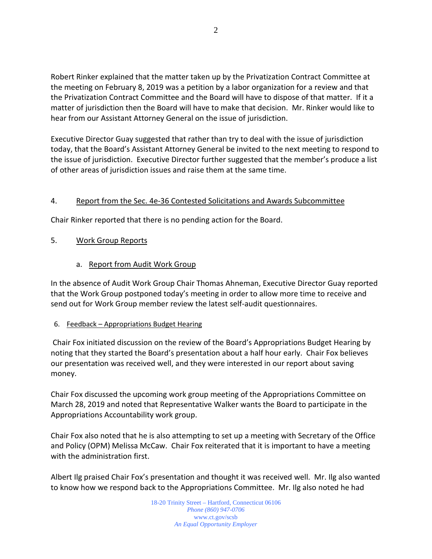Robert Rinker explained that the matter taken up by the Privatization Contract Committee at the meeting on February 8, 2019 was a petition by a labor organization for a review and that the Privatization Contract Committee and the Board will have to dispose of that matter. If it a matter of jurisdiction then the Board will have to make that decision. Mr. Rinker would like to hear from our Assistant Attorney General on the issue of jurisdiction.

Executive Director Guay suggested that rather than try to deal with the issue of jurisdiction today, that the Board's Assistant Attorney General be invited to the next meeting to respond to the issue of jurisdiction. Executive Director further suggested that the member's produce a list of other areas of jurisdiction issues and raise them at the same time.

#### 4. Report from the Sec. 4e-36 Contested Solicitations and Awards Subcommittee

Chair Rinker reported that there is no pending action for the Board.

#### 5. Work Group Reports

#### a. Report from Audit Work Group

In the absence of Audit Work Group Chair Thomas Ahneman, Executive Director Guay reported that the Work Group postponed today's meeting in order to allow more time to receive and send out for Work Group member review the latest self-audit questionnaires.

#### 6. Feedback – Appropriations Budget Hearing

Chair Fox initiated discussion on the review of the Board's Appropriations Budget Hearing by noting that they started the Board's presentation about a half hour early. Chair Fox believes our presentation was received well, and they were interested in our report about saving money.

Chair Fox discussed the upcoming work group meeting of the Appropriations Committee on March 28, 2019 and noted that Representative Walker wants the Board to participate in the Appropriations Accountability work group.

Chair Fox also noted that he is also attempting to set up a meeting with Secretary of the Office and Policy (OPM) Melissa McCaw. Chair Fox reiterated that it is important to have a meeting with the administration first.

Albert Ilg praised Chair Fox's presentation and thought it was received well. Mr. Ilg also wanted to know how we respond back to the Appropriations Committee. Mr. Ilg also noted he had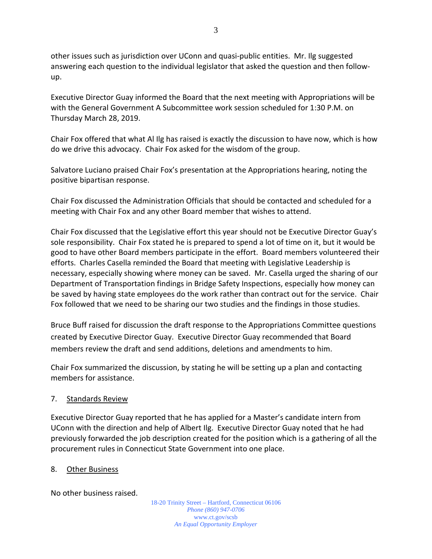other issues such as jurisdiction over UConn and quasi-public entities. Mr. Ilg suggested answering each question to the individual legislator that asked the question and then followup.

Executive Director Guay informed the Board that the next meeting with Appropriations will be with the General Government A Subcommittee work session scheduled for 1:30 P.M. on Thursday March 28, 2019.

Chair Fox offered that what Al Ilg has raised is exactly the discussion to have now, which is how do we drive this advocacy. Chair Fox asked for the wisdom of the group.

Salvatore Luciano praised Chair Fox's presentation at the Appropriations hearing, noting the positive bipartisan response.

Chair Fox discussed the Administration Officials that should be contacted and scheduled for a meeting with Chair Fox and any other Board member that wishes to attend.

Chair Fox discussed that the Legislative effort this year should not be Executive Director Guay's sole responsibility. Chair Fox stated he is prepared to spend a lot of time on it, but it would be good to have other Board members participate in the effort. Board members volunteered their efforts. Charles Casella reminded the Board that meeting with Legislative Leadership is necessary, especially showing where money can be saved. Mr. Casella urged the sharing of our Department of Transportation findings in Bridge Safety Inspections, especially how money can be saved by having state employees do the work rather than contract out for the service. Chair Fox followed that we need to be sharing our two studies and the findings in those studies.

Bruce Buff raised for discussion the draft response to the Appropriations Committee questions created by Executive Director Guay. Executive Director Guay recommended that Board members review the draft and send additions, deletions and amendments to him.

Chair Fox summarized the discussion, by stating he will be setting up a plan and contacting members for assistance.

#### 7. Standards Review

Executive Director Guay reported that he has applied for a Master's candidate intern from UConn with the direction and help of Albert Ilg. Executive Director Guay noted that he had previously forwarded the job description created for the position which is a gathering of all the procurement rules in Connecticut State Government into one place.

#### 8. Other Business

No other business raised.